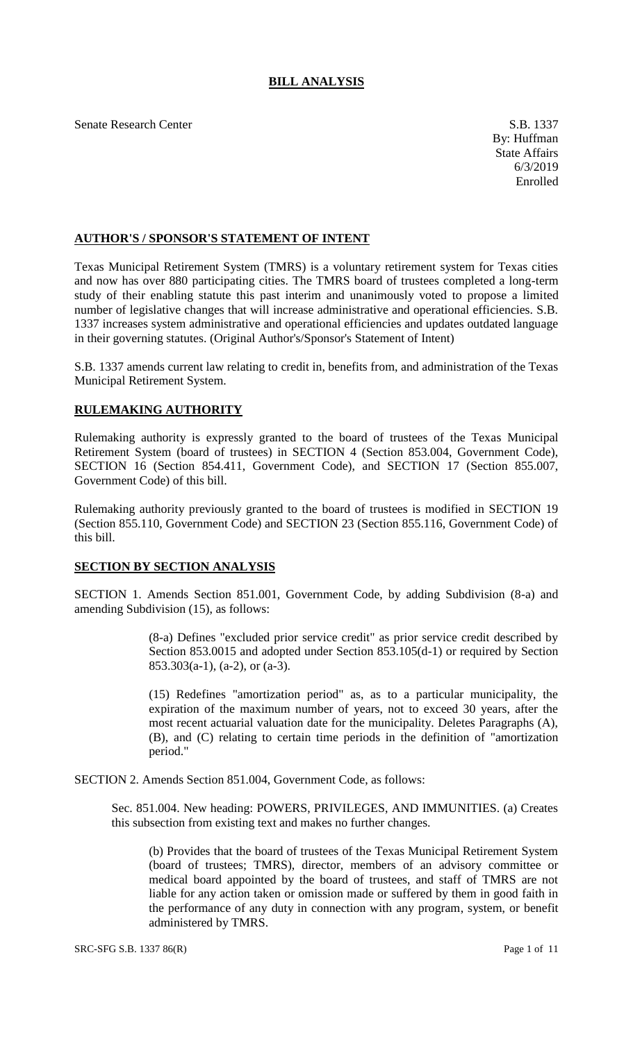## **BILL ANALYSIS**

Senate Research Center S.B. 1337

## **AUTHOR'S / SPONSOR'S STATEMENT OF INTENT**

Texas Municipal Retirement System (TMRS) is a voluntary retirement system for Texas cities and now has over 880 participating cities. The TMRS board of trustees completed a long-term study of their enabling statute this past interim and unanimously voted to propose a limited number of legislative changes that will increase administrative and operational efficiencies. S.B. 1337 increases system administrative and operational efficiencies and updates outdated language in their governing statutes. (Original Author's/Sponsor's Statement of Intent)

S.B. 1337 amends current law relating to credit in, benefits from, and administration of the Texas Municipal Retirement System.

## **RULEMAKING AUTHORITY**

Rulemaking authority is expressly granted to the board of trustees of the Texas Municipal Retirement System (board of trustees) in SECTION 4 (Section 853.004, Government Code), SECTION 16 (Section 854.411, Government Code), and SECTION 17 (Section 855.007, Government Code) of this bill.

Rulemaking authority previously granted to the board of trustees is modified in SECTION 19 (Section 855.110, Government Code) and SECTION 23 (Section 855.116, Government Code) of this bill.

## **SECTION BY SECTION ANALYSIS**

SECTION 1. Amends Section 851.001, Government Code, by adding Subdivision (8-a) and amending Subdivision (15), as follows:

> (8-a) Defines "excluded prior service credit" as prior service credit described by Section 853.0015 and adopted under Section 853.105(d-1) or required by Section 853.303(a-1), (a-2), or (a-3).

> (15) Redefines "amortization period" as, as to a particular municipality, the expiration of the maximum number of years, not to exceed 30 years, after the most recent actuarial valuation date for the municipality. Deletes Paragraphs (A), (B), and (C) relating to certain time periods in the definition of "amortization period."

SECTION 2. Amends Section 851.004, Government Code, as follows:

Sec. 851.004. New heading: POWERS, PRIVILEGES, AND IMMUNITIES. (a) Creates this subsection from existing text and makes no further changes.

(b) Provides that the board of trustees of the Texas Municipal Retirement System (board of trustees; TMRS), director, members of an advisory committee or medical board appointed by the board of trustees, and staff of TMRS are not liable for any action taken or omission made or suffered by them in good faith in the performance of any duty in connection with any program, system, or benefit administered by TMRS.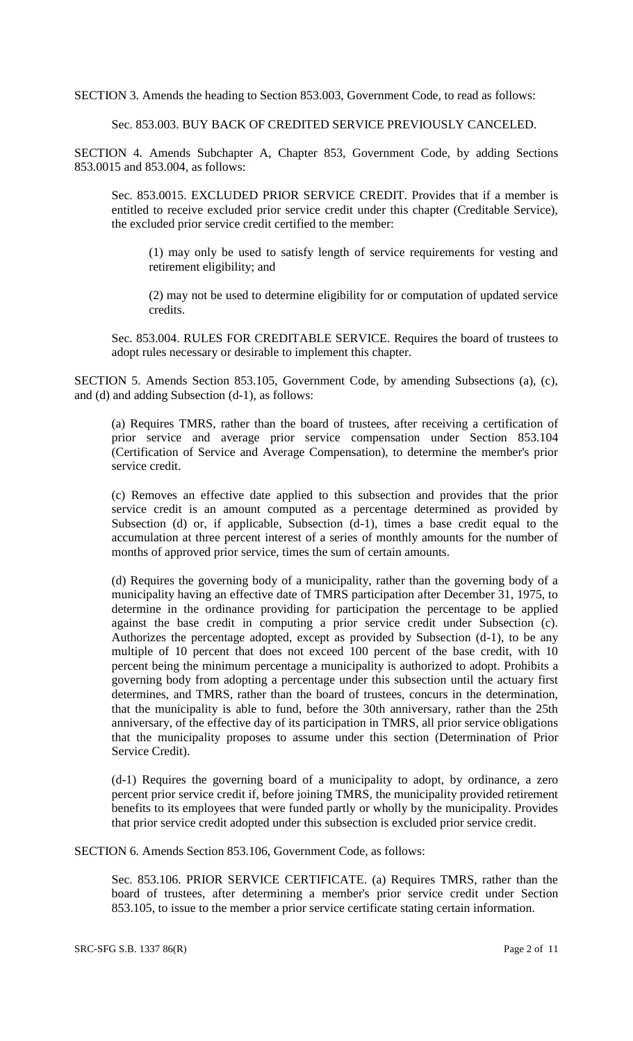SECTION 3. Amends the heading to Section 853.003, Government Code, to read as follows:

Sec. 853.003. BUY BACK OF CREDITED SERVICE PREVIOUSLY CANCELED.

SECTION 4. Amends Subchapter A, Chapter 853, Government Code, by adding Sections 853.0015 and 853.004, as follows:

Sec. 853.0015. EXCLUDED PRIOR SERVICE CREDIT. Provides that if a member is entitled to receive excluded prior service credit under this chapter (Creditable Service), the excluded prior service credit certified to the member:

(1) may only be used to satisfy length of service requirements for vesting and retirement eligibility; and

(2) may not be used to determine eligibility for or computation of updated service credits.

Sec. 853.004. RULES FOR CREDITABLE SERVICE. Requires the board of trustees to adopt rules necessary or desirable to implement this chapter.

SECTION 5. Amends Section 853.105, Government Code, by amending Subsections (a), (c), and (d) and adding Subsection (d-1), as follows:

(a) Requires TMRS, rather than the board of trustees, after receiving a certification of prior service and average prior service compensation under Section 853.104 (Certification of Service and Average Compensation), to determine the member's prior service credit.

(c) Removes an effective date applied to this subsection and provides that the prior service credit is an amount computed as a percentage determined as provided by Subsection (d) or, if applicable, Subsection (d-1), times a base credit equal to the accumulation at three percent interest of a series of monthly amounts for the number of months of approved prior service, times the sum of certain amounts.

(d) Requires the governing body of a municipality, rather than the governing body of a municipality having an effective date of TMRS participation after December 31, 1975, to determine in the ordinance providing for participation the percentage to be applied against the base credit in computing a prior service credit under Subsection (c). Authorizes the percentage adopted, except as provided by Subsection (d-1), to be any multiple of 10 percent that does not exceed 100 percent of the base credit, with 10 percent being the minimum percentage a municipality is authorized to adopt. Prohibits a governing body from adopting a percentage under this subsection until the actuary first determines, and TMRS, rather than the board of trustees, concurs in the determination, that the municipality is able to fund, before the 30th anniversary, rather than the 25th anniversary, of the effective day of its participation in TMRS, all prior service obligations that the municipality proposes to assume under this section (Determination of Prior Service Credit).

(d-1) Requires the governing board of a municipality to adopt, by ordinance, a zero percent prior service credit if, before joining TMRS, the municipality provided retirement benefits to its employees that were funded partly or wholly by the municipality. Provides that prior service credit adopted under this subsection is excluded prior service credit.

SECTION 6. Amends Section 853.106, Government Code, as follows:

Sec. 853.106. PRIOR SERVICE CERTIFICATE. (a) Requires TMRS, rather than the board of trustees, after determining a member's prior service credit under Section 853.105, to issue to the member a prior service certificate stating certain information.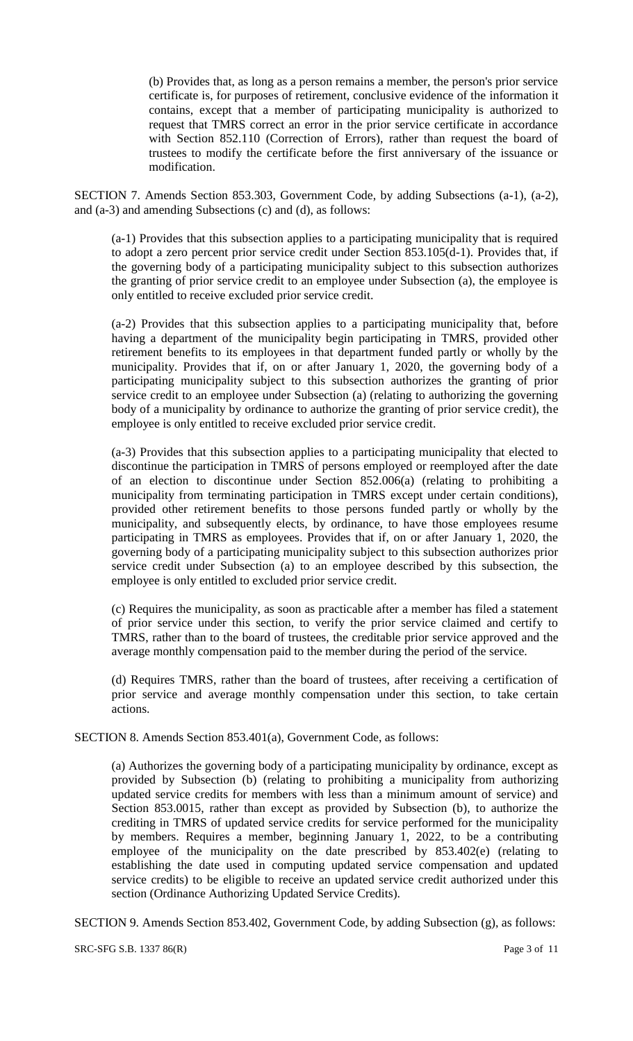(b) Provides that, as long as a person remains a member, the person's prior service certificate is, for purposes of retirement, conclusive evidence of the information it contains, except that a member of participating municipality is authorized to request that TMRS correct an error in the prior service certificate in accordance with Section 852.110 (Correction of Errors), rather than request the board of trustees to modify the certificate before the first anniversary of the issuance or modification.

SECTION 7. Amends Section 853.303, Government Code, by adding Subsections (a-1), (a-2), and (a-3) and amending Subsections (c) and (d), as follows:

(a-1) Provides that this subsection applies to a participating municipality that is required to adopt a zero percent prior service credit under Section 853.105(d-1). Provides that, if the governing body of a participating municipality subject to this subsection authorizes the granting of prior service credit to an employee under Subsection (a), the employee is only entitled to receive excluded prior service credit.

(a-2) Provides that this subsection applies to a participating municipality that, before having a department of the municipality begin participating in TMRS, provided other retirement benefits to its employees in that department funded partly or wholly by the municipality. Provides that if, on or after January 1, 2020, the governing body of a participating municipality subject to this subsection authorizes the granting of prior service credit to an employee under Subsection (a) (relating to authorizing the governing body of a municipality by ordinance to authorize the granting of prior service credit), the employee is only entitled to receive excluded prior service credit.

(a-3) Provides that this subsection applies to a participating municipality that elected to discontinue the participation in TMRS of persons employed or reemployed after the date of an election to discontinue under Section 852.006(a) (relating to prohibiting a municipality from terminating participation in TMRS except under certain conditions), provided other retirement benefits to those persons funded partly or wholly by the municipality, and subsequently elects, by ordinance, to have those employees resume participating in TMRS as employees. Provides that if, on or after January 1, 2020, the governing body of a participating municipality subject to this subsection authorizes prior service credit under Subsection (a) to an employee described by this subsection, the employee is only entitled to excluded prior service credit.

(c) Requires the municipality, as soon as practicable after a member has filed a statement of prior service under this section, to verify the prior service claimed and certify to TMRS, rather than to the board of trustees, the creditable prior service approved and the average monthly compensation paid to the member during the period of the service.

(d) Requires TMRS, rather than the board of trustees, after receiving a certification of prior service and average monthly compensation under this section, to take certain actions.

SECTION 8. Amends Section 853.401(a), Government Code, as follows:

(a) Authorizes the governing body of a participating municipality by ordinance, except as provided by Subsection (b) (relating to prohibiting a municipality from authorizing updated service credits for members with less than a minimum amount of service) and Section 853.0015, rather than except as provided by Subsection (b), to authorize the crediting in TMRS of updated service credits for service performed for the municipality by members. Requires a member, beginning January 1, 2022, to be a contributing employee of the municipality on the date prescribed by 853.402(e) (relating to establishing the date used in computing updated service compensation and updated service credits) to be eligible to receive an updated service credit authorized under this section (Ordinance Authorizing Updated Service Credits).

SECTION 9. Amends Section 853.402, Government Code, by adding Subsection (g), as follows: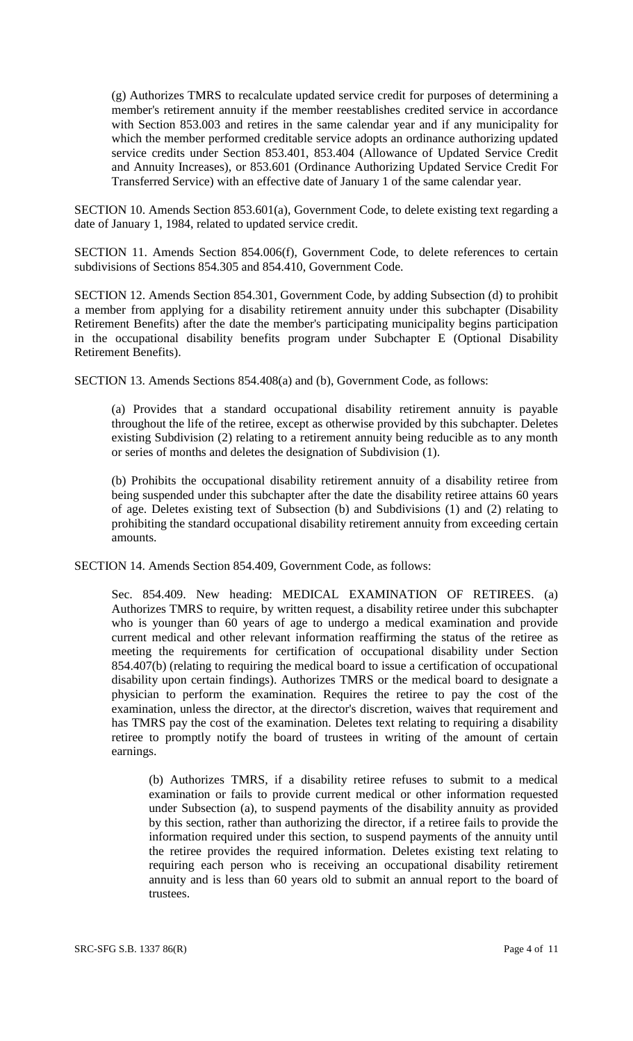(g) Authorizes TMRS to recalculate updated service credit for purposes of determining a member's retirement annuity if the member reestablishes credited service in accordance with Section 853.003 and retires in the same calendar year and if any municipality for which the member performed creditable service adopts an ordinance authorizing updated service credits under Section 853.401, 853.404 (Allowance of Updated Service Credit and Annuity Increases), or 853.601 (Ordinance Authorizing Updated Service Credit For Transferred Service) with an effective date of January 1 of the same calendar year.

SECTION 10. Amends Section 853.601(a), Government Code, to delete existing text regarding a date of January 1, 1984, related to updated service credit.

SECTION 11. Amends Section 854.006(f), Government Code, to delete references to certain subdivisions of Sections 854.305 and 854.410, Government Code.

SECTION 12. Amends Section 854.301, Government Code, by adding Subsection (d) to prohibit a member from applying for a disability retirement annuity under this subchapter (Disability Retirement Benefits) after the date the member's participating municipality begins participation in the occupational disability benefits program under Subchapter E (Optional Disability Retirement Benefits).

SECTION 13. Amends Sections 854.408(a) and (b), Government Code, as follows:

(a) Provides that a standard occupational disability retirement annuity is payable throughout the life of the retiree, except as otherwise provided by this subchapter. Deletes existing Subdivision (2) relating to a retirement annuity being reducible as to any month or series of months and deletes the designation of Subdivision (1).

(b) Prohibits the occupational disability retirement annuity of a disability retiree from being suspended under this subchapter after the date the disability retiree attains 60 years of age. Deletes existing text of Subsection (b) and Subdivisions (1) and (2) relating to prohibiting the standard occupational disability retirement annuity from exceeding certain amounts.

SECTION 14. Amends Section 854.409, Government Code, as follows:

Sec. 854.409. New heading: MEDICAL EXAMINATION OF RETIREES. (a) Authorizes TMRS to require, by written request, a disability retiree under this subchapter who is younger than 60 years of age to undergo a medical examination and provide current medical and other relevant information reaffirming the status of the retiree as meeting the requirements for certification of occupational disability under Section 854.407(b) (relating to requiring the medical board to issue a certification of occupational disability upon certain findings). Authorizes TMRS or the medical board to designate a physician to perform the examination. Requires the retiree to pay the cost of the examination, unless the director, at the director's discretion, waives that requirement and has TMRS pay the cost of the examination. Deletes text relating to requiring a disability retiree to promptly notify the board of trustees in writing of the amount of certain earnings.

(b) Authorizes TMRS, if a disability retiree refuses to submit to a medical examination or fails to provide current medical or other information requested under Subsection (a), to suspend payments of the disability annuity as provided by this section, rather than authorizing the director, if a retiree fails to provide the information required under this section, to suspend payments of the annuity until the retiree provides the required information. Deletes existing text relating to requiring each person who is receiving an occupational disability retirement annuity and is less than 60 years old to submit an annual report to the board of trustees.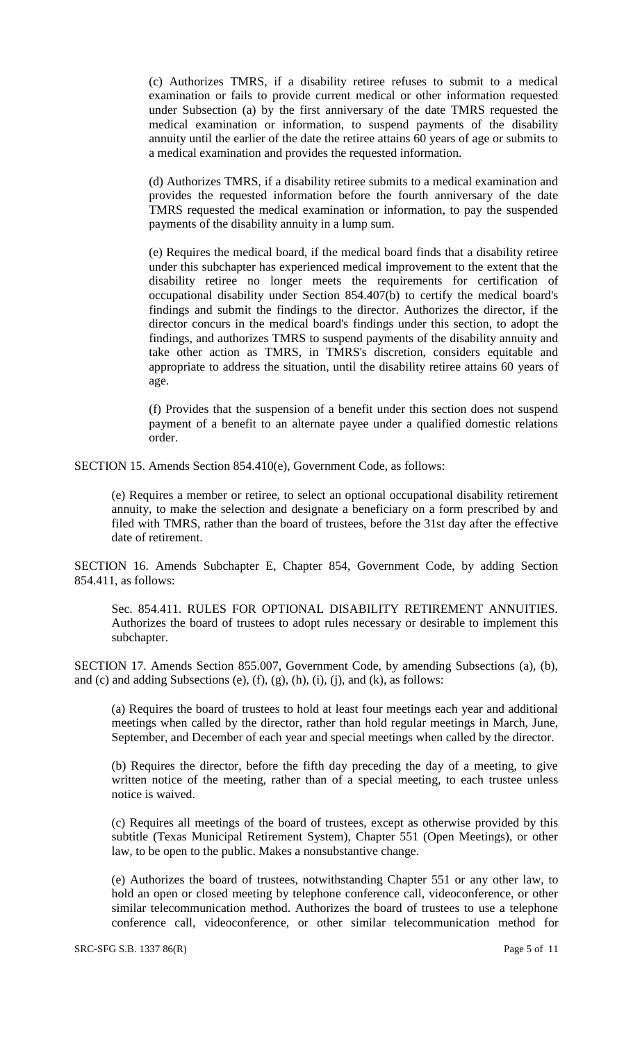(c) Authorizes TMRS, if a disability retiree refuses to submit to a medical examination or fails to provide current medical or other information requested under Subsection (a) by the first anniversary of the date TMRS requested the medical examination or information, to suspend payments of the disability annuity until the earlier of the date the retiree attains 60 years of age or submits to a medical examination and provides the requested information.

(d) Authorizes TMRS, if a disability retiree submits to a medical examination and provides the requested information before the fourth anniversary of the date TMRS requested the medical examination or information, to pay the suspended payments of the disability annuity in a lump sum.

(e) Requires the medical board, if the medical board finds that a disability retiree under this subchapter has experienced medical improvement to the extent that the disability retiree no longer meets the requirements for certification of occupational disability under Section 854.407(b) to certify the medical board's findings and submit the findings to the director. Authorizes the director, if the director concurs in the medical board's findings under this section, to adopt the findings, and authorizes TMRS to suspend payments of the disability annuity and take other action as TMRS, in TMRS's discretion, considers equitable and appropriate to address the situation, until the disability retiree attains 60 years of age.

(f) Provides that the suspension of a benefit under this section does not suspend payment of a benefit to an alternate payee under a qualified domestic relations order.

SECTION 15. Amends Section 854.410(e), Government Code, as follows:

(e) Requires a member or retiree, to select an optional occupational disability retirement annuity, to make the selection and designate a beneficiary on a form prescribed by and filed with TMRS, rather than the board of trustees, before the 31st day after the effective date of retirement.

SECTION 16. Amends Subchapter E, Chapter 854, Government Code, by adding Section 854.411, as follows:

Sec. 854.411. RULES FOR OPTIONAL DISABILITY RETIREMENT ANNUITIES. Authorizes the board of trustees to adopt rules necessary or desirable to implement this subchapter.

SECTION 17. Amends Section 855.007, Government Code, by amending Subsections (a), (b), and (c) and adding Subsections (e),  $(f)$ ,  $(g)$ ,  $(h)$ ,  $(i)$ ,  $(i)$ , and  $(k)$ , as follows:

(a) Requires the board of trustees to hold at least four meetings each year and additional meetings when called by the director, rather than hold regular meetings in March, June, September, and December of each year and special meetings when called by the director.

(b) Requires the director, before the fifth day preceding the day of a meeting, to give written notice of the meeting, rather than of a special meeting, to each trustee unless notice is waived.

(c) Requires all meetings of the board of trustees, except as otherwise provided by this subtitle (Texas Municipal Retirement System), Chapter 551 (Open Meetings), or other law, to be open to the public. Makes a nonsubstantive change.

(e) Authorizes the board of trustees, notwithstanding Chapter 551 or any other law, to hold an open or closed meeting by telephone conference call, videoconference, or other similar telecommunication method. Authorizes the board of trustees to use a telephone conference call, videoconference, or other similar telecommunication method for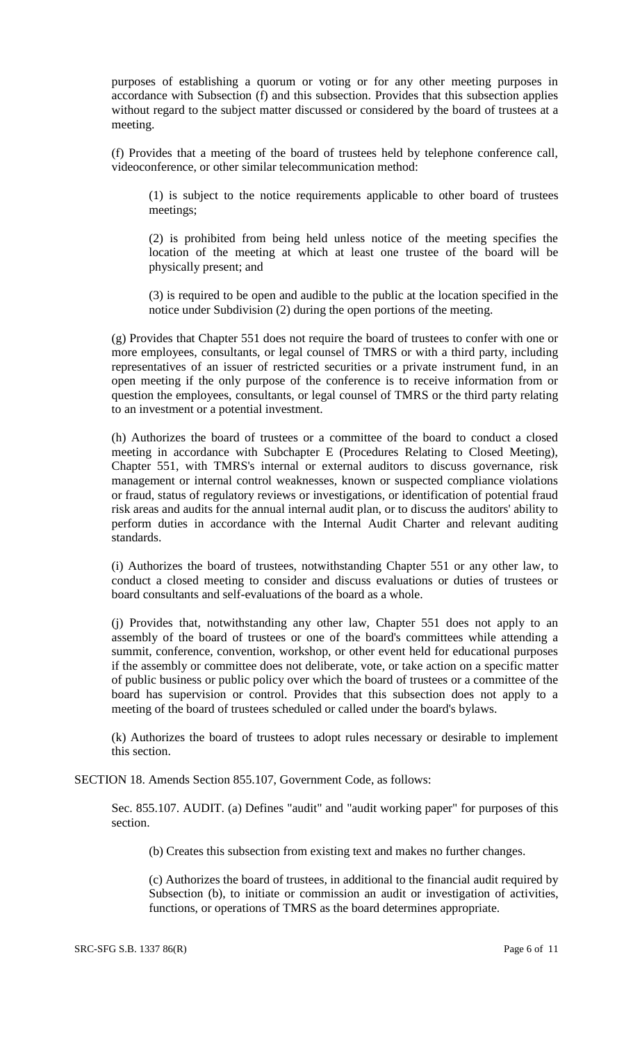purposes of establishing a quorum or voting or for any other meeting purposes in accordance with Subsection (f) and this subsection. Provides that this subsection applies without regard to the subject matter discussed or considered by the board of trustees at a meeting.

(f) Provides that a meeting of the board of trustees held by telephone conference call, videoconference, or other similar telecommunication method:

(1) is subject to the notice requirements applicable to other board of trustees meetings;

(2) is prohibited from being held unless notice of the meeting specifies the location of the meeting at which at least one trustee of the board will be physically present; and

(3) is required to be open and audible to the public at the location specified in the notice under Subdivision (2) during the open portions of the meeting.

(g) Provides that Chapter 551 does not require the board of trustees to confer with one or more employees, consultants, or legal counsel of TMRS or with a third party, including representatives of an issuer of restricted securities or a private instrument fund, in an open meeting if the only purpose of the conference is to receive information from or question the employees, consultants, or legal counsel of TMRS or the third party relating to an investment or a potential investment.

(h) Authorizes the board of trustees or a committee of the board to conduct a closed meeting in accordance with Subchapter E (Procedures Relating to Closed Meeting), Chapter 551, with TMRS's internal or external auditors to discuss governance, risk management or internal control weaknesses, known or suspected compliance violations or fraud, status of regulatory reviews or investigations, or identification of potential fraud risk areas and audits for the annual internal audit plan, or to discuss the auditors' ability to perform duties in accordance with the Internal Audit Charter and relevant auditing standards.

(i) Authorizes the board of trustees, notwithstanding Chapter 551 or any other law, to conduct a closed meeting to consider and discuss evaluations or duties of trustees or board consultants and self-evaluations of the board as a whole.

(j) Provides that, notwithstanding any other law, Chapter 551 does not apply to an assembly of the board of trustees or one of the board's committees while attending a summit, conference, convention, workshop, or other event held for educational purposes if the assembly or committee does not deliberate, vote, or take action on a specific matter of public business or public policy over which the board of trustees or a committee of the board has supervision or control. Provides that this subsection does not apply to a meeting of the board of trustees scheduled or called under the board's bylaws.

(k) Authorizes the board of trustees to adopt rules necessary or desirable to implement this section.

SECTION 18. Amends Section 855.107, Government Code, as follows:

Sec. 855.107. AUDIT. (a) Defines "audit" and "audit working paper" for purposes of this section.

(b) Creates this subsection from existing text and makes no further changes.

(c) Authorizes the board of trustees, in additional to the financial audit required by Subsection (b), to initiate or commission an audit or investigation of activities, functions, or operations of TMRS as the board determines appropriate.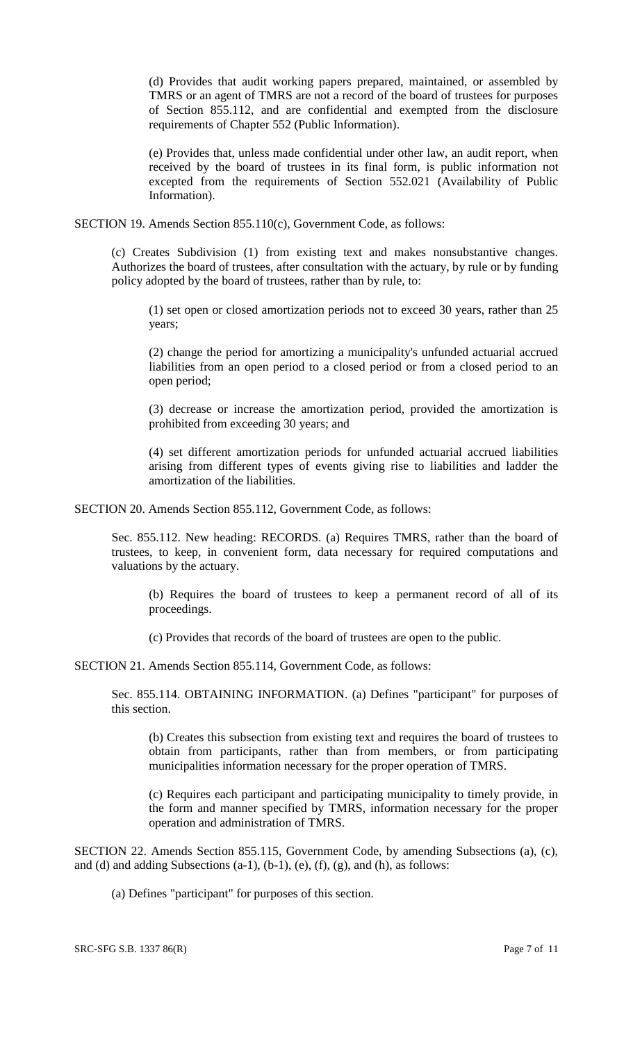(d) Provides that audit working papers prepared, maintained, or assembled by TMRS or an agent of TMRS are not a record of the board of trustees for purposes of Section 855.112, and are confidential and exempted from the disclosure requirements of Chapter 552 (Public Information).

(e) Provides that, unless made confidential under other law, an audit report, when received by the board of trustees in its final form, is public information not excepted from the requirements of Section 552.021 (Availability of Public Information).

SECTION 19. Amends Section 855.110(c), Government Code, as follows:

(c) Creates Subdivision (1) from existing text and makes nonsubstantive changes. Authorizes the board of trustees, after consultation with the actuary, by rule or by funding policy adopted by the board of trustees, rather than by rule, to:

(1) set open or closed amortization periods not to exceed 30 years, rather than 25 years;

(2) change the period for amortizing a municipality's unfunded actuarial accrued liabilities from an open period to a closed period or from a closed period to an open period;

(3) decrease or increase the amortization period, provided the amortization is prohibited from exceeding 30 years; and

(4) set different amortization periods for unfunded actuarial accrued liabilities arising from different types of events giving rise to liabilities and ladder the amortization of the liabilities.

SECTION 20. Amends Section 855.112, Government Code, as follows:

Sec. 855.112. New heading: RECORDS. (a) Requires TMRS, rather than the board of trustees, to keep, in convenient form, data necessary for required computations and valuations by the actuary.

(b) Requires the board of trustees to keep a permanent record of all of its proceedings.

(c) Provides that records of the board of trustees are open to the public.

SECTION 21. Amends Section 855.114, Government Code, as follows:

Sec. 855.114. OBTAINING INFORMATION. (a) Defines "participant" for purposes of this section.

(b) Creates this subsection from existing text and requires the board of trustees to obtain from participants, rather than from members, or from participating municipalities information necessary for the proper operation of TMRS.

(c) Requires each participant and participating municipality to timely provide, in the form and manner specified by TMRS, information necessary for the proper operation and administration of TMRS.

SECTION 22. Amends Section 855.115, Government Code, by amending Subsections (a), (c), and (d) and adding Subsections  $(a-1)$ ,  $(b-1)$ ,  $(e)$ ,  $(f)$ ,  $(g)$ , and  $(h)$ , as follows:

(a) Defines "participant" for purposes of this section.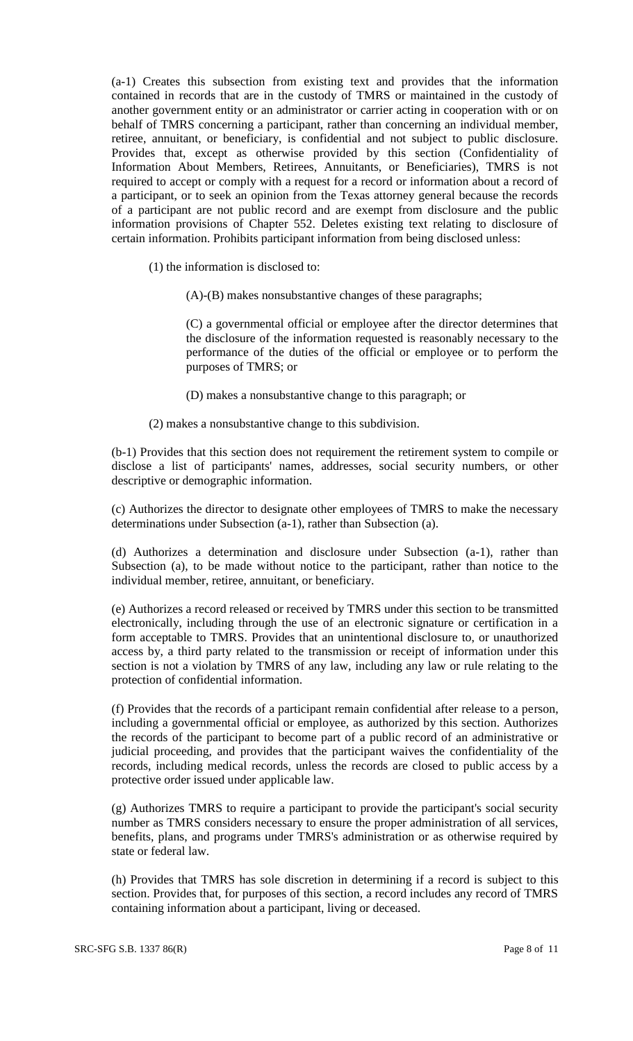(a-1) Creates this subsection from existing text and provides that the information contained in records that are in the custody of TMRS or maintained in the custody of another government entity or an administrator or carrier acting in cooperation with or on behalf of TMRS concerning a participant, rather than concerning an individual member, retiree, annuitant, or beneficiary, is confidential and not subject to public disclosure. Provides that, except as otherwise provided by this section (Confidentiality of Information About Members, Retirees, Annuitants, or Beneficiaries), TMRS is not required to accept or comply with a request for a record or information about a record of a participant, or to seek an opinion from the Texas attorney general because the records of a participant are not public record and are exempt from disclosure and the public information provisions of Chapter 552. Deletes existing text relating to disclosure of certain information. Prohibits participant information from being disclosed unless:

(1) the information is disclosed to:

(A)-(B) makes nonsubstantive changes of these paragraphs;

(C) a governmental official or employee after the director determines that the disclosure of the information requested is reasonably necessary to the performance of the duties of the official or employee or to perform the purposes of TMRS; or

(D) makes a nonsubstantive change to this paragraph; or

(2) makes a nonsubstantive change to this subdivision.

(b-1) Provides that this section does not requirement the retirement system to compile or disclose a list of participants' names, addresses, social security numbers, or other descriptive or demographic information.

(c) Authorizes the director to designate other employees of TMRS to make the necessary determinations under Subsection (a-1), rather than Subsection (a).

(d) Authorizes a determination and disclosure under Subsection (a-1), rather than Subsection (a), to be made without notice to the participant, rather than notice to the individual member, retiree, annuitant, or beneficiary.

(e) Authorizes a record released or received by TMRS under this section to be transmitted electronically, including through the use of an electronic signature or certification in a form acceptable to TMRS. Provides that an unintentional disclosure to, or unauthorized access by, a third party related to the transmission or receipt of information under this section is not a violation by TMRS of any law, including any law or rule relating to the protection of confidential information.

(f) Provides that the records of a participant remain confidential after release to a person, including a governmental official or employee, as authorized by this section. Authorizes the records of the participant to become part of a public record of an administrative or judicial proceeding, and provides that the participant waives the confidentiality of the records, including medical records, unless the records are closed to public access by a protective order issued under applicable law.

(g) Authorizes TMRS to require a participant to provide the participant's social security number as TMRS considers necessary to ensure the proper administration of all services, benefits, plans, and programs under TMRS's administration or as otherwise required by state or federal law.

(h) Provides that TMRS has sole discretion in determining if a record is subject to this section. Provides that, for purposes of this section, a record includes any record of TMRS containing information about a participant, living or deceased.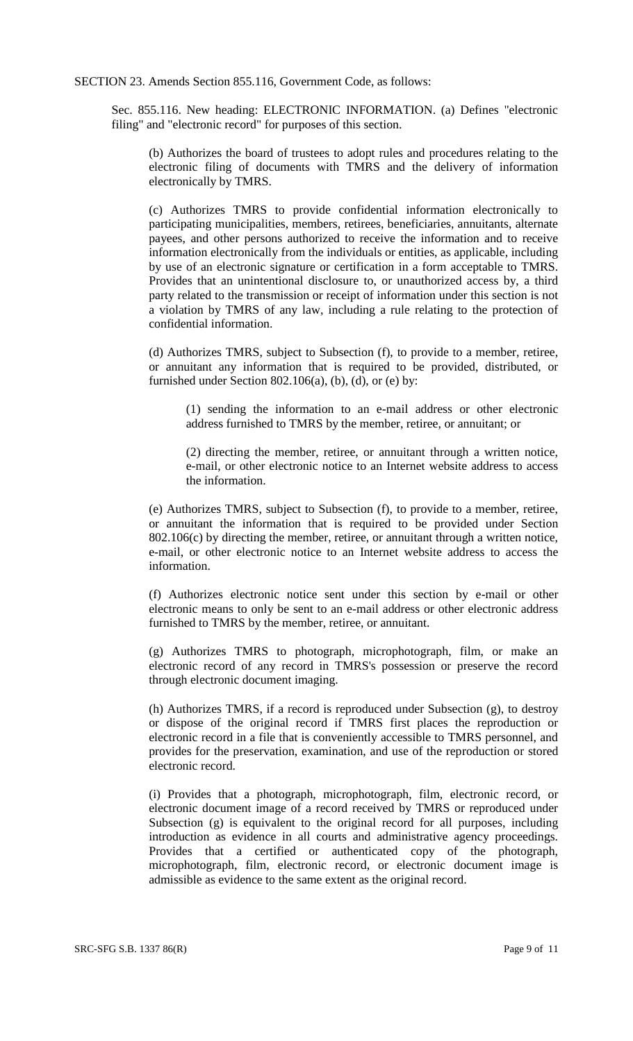SECTION 23. Amends Section 855.116, Government Code, as follows:

Sec. 855.116. New heading: ELECTRONIC INFORMATION. (a) Defines "electronic filing" and "electronic record" for purposes of this section.

(b) Authorizes the board of trustees to adopt rules and procedures relating to the electronic filing of documents with TMRS and the delivery of information electronically by TMRS.

(c) Authorizes TMRS to provide confidential information electronically to participating municipalities, members, retirees, beneficiaries, annuitants, alternate payees, and other persons authorized to receive the information and to receive information electronically from the individuals or entities, as applicable, including by use of an electronic signature or certification in a form acceptable to TMRS. Provides that an unintentional disclosure to, or unauthorized access by, a third party related to the transmission or receipt of information under this section is not a violation by TMRS of any law, including a rule relating to the protection of confidential information.

(d) Authorizes TMRS, subject to Subsection (f), to provide to a member, retiree, or annuitant any information that is required to be provided, distributed, or furnished under Section 802.106(a), (b), (d), or (e) by:

(1) sending the information to an e-mail address or other electronic address furnished to TMRS by the member, retiree, or annuitant; or

(2) directing the member, retiree, or annuitant through a written notice, e-mail, or other electronic notice to an Internet website address to access the information.

(e) Authorizes TMRS, subject to Subsection (f), to provide to a member, retiree, or annuitant the information that is required to be provided under Section 802.106(c) by directing the member, retiree, or annuitant through a written notice, e-mail, or other electronic notice to an Internet website address to access the information.

(f) Authorizes electronic notice sent under this section by e-mail or other electronic means to only be sent to an e-mail address or other electronic address furnished to TMRS by the member, retiree, or annuitant.

(g) Authorizes TMRS to photograph, microphotograph, film, or make an electronic record of any record in TMRS's possession or preserve the record through electronic document imaging.

(h) Authorizes TMRS, if a record is reproduced under Subsection (g), to destroy or dispose of the original record if TMRS first places the reproduction or electronic record in a file that is conveniently accessible to TMRS personnel, and provides for the preservation, examination, and use of the reproduction or stored electronic record.

(i) Provides that a photograph, microphotograph, film, electronic record, or electronic document image of a record received by TMRS or reproduced under Subsection (g) is equivalent to the original record for all purposes, including introduction as evidence in all courts and administrative agency proceedings. Provides that a certified or authenticated copy of the photograph, microphotograph, film, electronic record, or electronic document image is admissible as evidence to the same extent as the original record.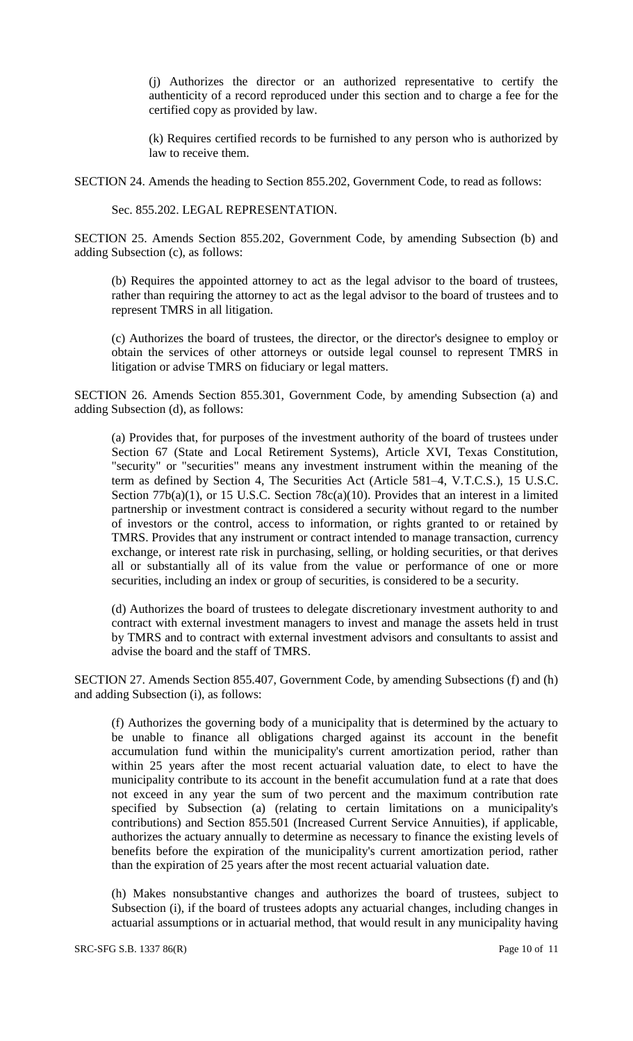(j) Authorizes the director or an authorized representative to certify the authenticity of a record reproduced under this section and to charge a fee for the certified copy as provided by law.

(k) Requires certified records to be furnished to any person who is authorized by law to receive them.

SECTION 24. Amends the heading to Section 855.202, Government Code, to read as follows:

Sec. 855.202. LEGAL REPRESENTATION.

SECTION 25. Amends Section 855.202, Government Code, by amending Subsection (b) and adding Subsection (c), as follows:

(b) Requires the appointed attorney to act as the legal advisor to the board of trustees, rather than requiring the attorney to act as the legal advisor to the board of trustees and to represent TMRS in all litigation.

(c) Authorizes the board of trustees, the director, or the director's designee to employ or obtain the services of other attorneys or outside legal counsel to represent TMRS in litigation or advise TMRS on fiduciary or legal matters.

SECTION 26. Amends Section 855.301, Government Code, by amending Subsection (a) and adding Subsection (d), as follows:

(a) Provides that, for purposes of the investment authority of the board of trustees under Section 67 (State and Local Retirement Systems), Article XVI, Texas Constitution, "security" or "securities" means any investment instrument within the meaning of the term as defined by Section 4, The Securities Act (Article 581–4, V.T.C.S.), 15 U.S.C. Section 77b(a)(1), or 15 U.S.C. Section 78c(a)(10). Provides that an interest in a limited partnership or investment contract is considered a security without regard to the number of investors or the control, access to information, or rights granted to or retained by TMRS. Provides that any instrument or contract intended to manage transaction, currency exchange, or interest rate risk in purchasing, selling, or holding securities, or that derives all or substantially all of its value from the value or performance of one or more securities, including an index or group of securities, is considered to be a security.

(d) Authorizes the board of trustees to delegate discretionary investment authority to and contract with external investment managers to invest and manage the assets held in trust by TMRS and to contract with external investment advisors and consultants to assist and advise the board and the staff of TMRS.

SECTION 27. Amends Section 855.407, Government Code, by amending Subsections (f) and (h) and adding Subsection (i), as follows:

(f) Authorizes the governing body of a municipality that is determined by the actuary to be unable to finance all obligations charged against its account in the benefit accumulation fund within the municipality's current amortization period, rather than within 25 years after the most recent actuarial valuation date, to elect to have the municipality contribute to its account in the benefit accumulation fund at a rate that does not exceed in any year the sum of two percent and the maximum contribution rate specified by Subsection (a) (relating to certain limitations on a municipality's contributions) and Section 855.501 (Increased Current Service Annuities), if applicable, authorizes the actuary annually to determine as necessary to finance the existing levels of benefits before the expiration of the municipality's current amortization period, rather than the expiration of 25 years after the most recent actuarial valuation date.

(h) Makes nonsubstantive changes and authorizes the board of trustees, subject to Subsection (i), if the board of trustees adopts any actuarial changes, including changes in actuarial assumptions or in actuarial method, that would result in any municipality having